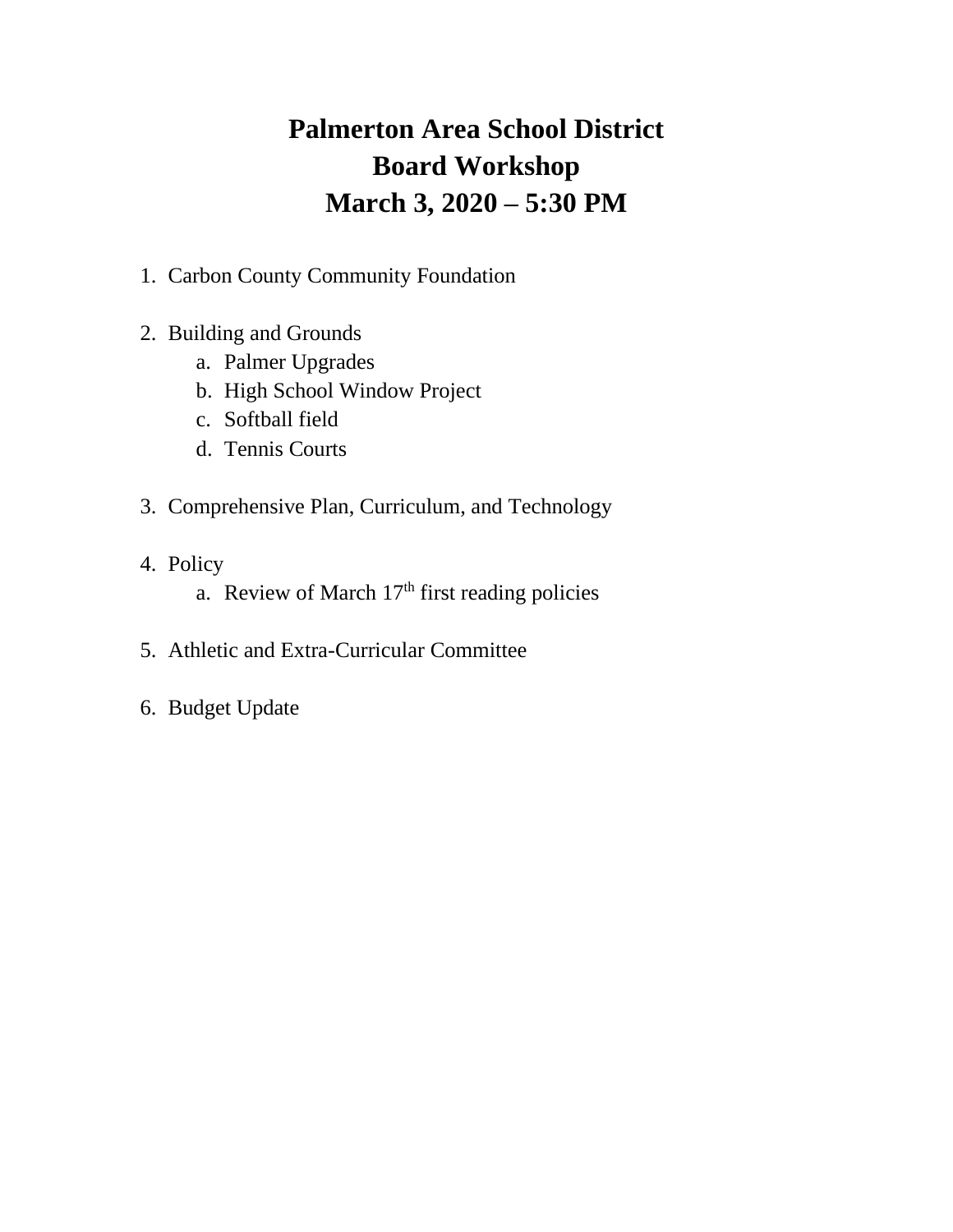# **Palmerton Area School District Board Workshop March 3, 2020 – 5:30 PM**

- 1. Carbon County Community Foundation
- 2. Building and Grounds
	- a. Palmer Upgrades
	- b. High School Window Project
	- c. Softball field
	- d. Tennis Courts
- 3. Comprehensive Plan, Curriculum, and Technology
- 4. Policy
	- a. Review of March  $17<sup>th</sup>$  first reading policies
- 5. Athletic and Extra-Curricular Committee
- 6. Budget Update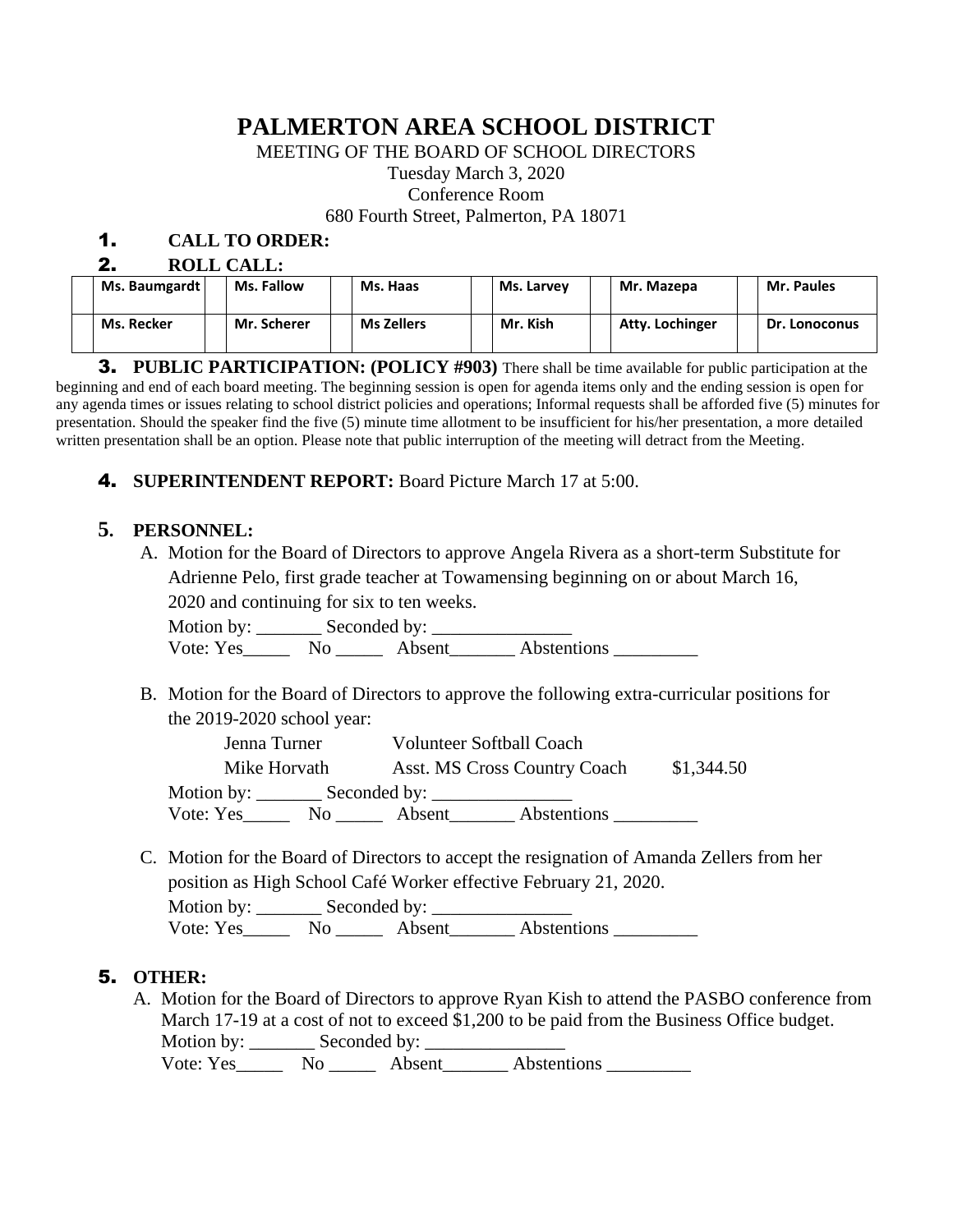## **PALMERTON AREA SCHOOL DISTRICT**

MEETING OF THE BOARD OF SCHOOL DIRECTORS

Tuesday March 3, 2020

Conference Room

680 Fourth Street, Palmerton, PA 18071

### 1. **CALL TO ORDER:**

| <b>ROLL CALL:</b><br>-7 |                   |                   |            |                 |                   |  |  |  |  |
|-------------------------|-------------------|-------------------|------------|-----------------|-------------------|--|--|--|--|
| Ms. Baumgardt           | <b>Ms. Fallow</b> | Ms. Haas          | Ms. Larvey | Mr. Mazepa      | <b>Mr. Paules</b> |  |  |  |  |
| Ms. Recker              | Mr. Scherer       | <b>Ms Zellers</b> | Mr. Kish   | Atty. Lochinger | Dr. Lonoconus     |  |  |  |  |

3. **PUBLIC PARTICIPATION: (POLICY #903)** There shall be time available for public participation at the beginning and end of each board meeting. The beginning session is open for agenda items only and the ending session is open for any agenda times or issues relating to school district policies and operations; Informal requests shall be afforded five (5) minutes for presentation. Should the speaker find the five (5) minute time allotment to be insufficient for his/her presentation, a more detailed written presentation shall be an option. Please note that public interruption of the meeting will detract from the Meeting.

#### 4. **SUPERINTENDENT REPORT:** Board Picture March 17 at 5:00.

#### **5. PERSONNEL:**

A. Motion for the Board of Directors to approve Angela Rivera as a short-term Substitute for Adrienne Pelo, first grade teacher at Towamensing beginning on or about March 16,

2020 and continuing for six to ten weeks.

Motion by: \_\_\_\_\_\_\_ Seconded by: \_\_\_\_\_\_\_\_\_\_\_\_\_\_\_ Vote: Yes\_\_\_\_\_\_\_ No \_\_\_\_\_\_ Absent\_\_\_\_\_\_\_ Abstentions \_\_\_\_\_\_\_\_\_\_

B. Motion for the Board of Directors to approve the following extra-curricular positions for the 2019-2020 school year:

| Jenna Turner       |                |                     | <b>Volunteer Softball Coach</b> |  |  |
|--------------------|----------------|---------------------|---------------------------------|--|--|
| Mike Horvath       |                |                     | Asst. MS Cross Country Coach    |  |  |
| Motion by: _______ |                | Seconded by: $\_\_$ |                                 |  |  |
| Vote: Yes          | N <sub>O</sub> | Absent              | Abstentions                     |  |  |

C. Motion for the Board of Directors to accept the resignation of Amanda Zellers from her position as High School Café Worker effective February 21, 2020.

Motion by: Seconded by: Vote: Yes\_\_\_\_\_\_\_\_ No \_\_\_\_\_\_\_ Absent\_\_\_\_\_\_\_\_\_ Abstentions \_\_\_\_\_\_\_\_\_\_\_\_\_\_\_\_\_\_\_\_\_\_\_

### 5. **OTHER:**

A. Motion for the Board of Directors to approve Ryan Kish to attend the PASBO conference from March 17-19 at a cost of not to exceed \$1,200 to be paid from the Business Office budget. Motion by: \_\_\_\_\_\_\_ Seconded by: \_\_\_\_\_\_\_\_\_\_\_\_\_\_\_

Vote: Yes\_\_\_\_\_\_\_ No \_\_\_\_\_\_ Absent\_\_\_\_\_\_\_\_ Abstentions \_\_\_\_\_\_\_\_\_